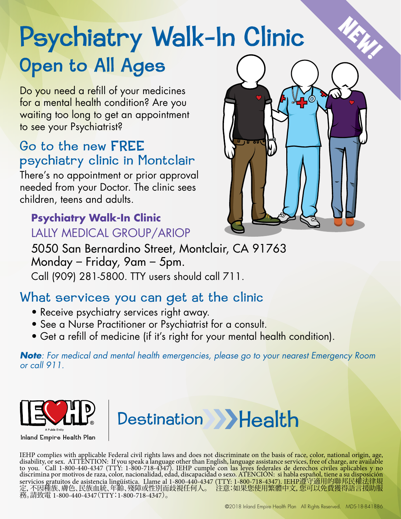# Psychi Open to All Ages atry Walk-In Clinic New

Do you need a refill of your medicines for a mental health condition? Are you waiting too long to get an appointment to see your Psychiatrist?

### psychiatry clinic in Montclair Go to the new FREE

There's no appointment or prior approval needed from your Doctor. The clinic sees children, teens and adults.

#### **Psychiatry Walk-In Clinic**  LALLY MEDICAL GROUP/ARIOP



5050 San Bernardino Street, Montclair, CA 91763 Monday – Friday, 9am – 5pm. Call (909) 281-5800. TTY users should call 711.

### What services you can get at the clinic

- Receive psychiatry services right away.
- See a Nurse Practitioner or Psychiatrist for a consult.
- Get a refill of medicine (if it's right for your mental health condition).

*Note: For medical and mental health emergencies, please go to your nearest Emergency Room or call 911.* 



Inland Empire Health Plan

IEHP complies with applicable Federal civil rights laws and does not discriminate on the basis of race, color, national origin, age, disability, or sex. ATTENTION: If you speak a language other than English, language assistance services, free of charge, are available to you. Call 1-800-440-4347 (TTY: 1-800-718-4347). IEHP cumple con las leyes federales de derechos civiles aplicables y no discrimina por motivos de raza, color, nacionalidad, edad, discapacidad o sexo. ATENCIÓN: si habla español, tiene a su disposición servicios gratuitos de asistencia lingüística. Llame al 1-800-440-4347 (TTY: 1-800-718-4347). IEHP遵守適用的聯邦民權法律規 定,不因種族、膚色、民族血統、年齡、殘障或性別而歧視任何人。 注意:如果您使用繁體中文,您可以免費獲得語言援助服 務。請致電 1-800-440-4347(TTY:1-800-718-4347)。

Destination >>Health